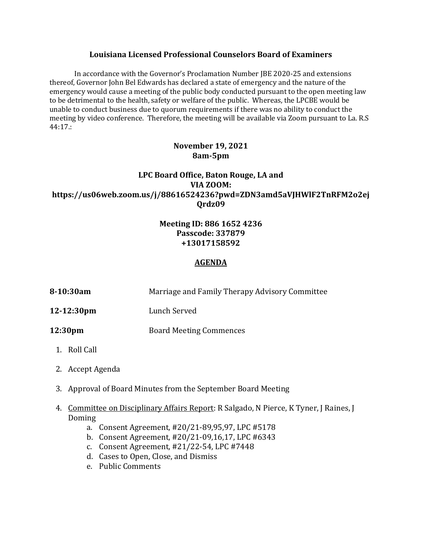### **Louisiana Licensed Professional Counselors Board of Examiners**

In accordance with the Governor's Proclamation Number JBE 2020-25 and extensions thereof, Governor John Bel Edwards has declared a state of emergency and the nature of the emergency would cause a meeting of the public body conducted pursuant to the open meeting law to be detrimental to the health, safety or welfare of the public. Whereas, the LPCBE would be unable to conduct business due to quorum requirements if there was no ability to conduct the meeting by video conference. Therefore, the meeting will be available via Zoom pursuant to La. R.S 44:17.:

# **November 19, 2021 8am-5pm**

# **LPC Board Office, Baton Rouge, LA and VIA ZOOM: https://us06web.zoom.us/j/88616524236?pwd=ZDN3amd5aVJHWlF2TnRFM2o2ej Qrdz09**

## **Meeting ID: 886 1652 4236 Passcode: 337879 +13017158592**

### **AGENDA**

| 8-10:30am  | Marriage and Family Therapy Advisory Committee |
|------------|------------------------------------------------|
| 12-12:30pm | Lunch Served                                   |
| 12:30pm    | <b>Board Meeting Commences</b>                 |

- 1. Roll Call
- 2. Accept Agenda
- 3. Approval of Board Minutes from the September Board Meeting
- 4. Committee on Disciplinary Affairs Report: R Salgado, N Pierce, K Tyner, J Raines, J Doming
	- a. Consent Agreement, #20/21-89,95,97, LPC #5178
	- b. Consent Agreement, #20/21-09,16,17, LPC #6343
	- c. Consent Agreement, #21/22-54, LPC #7448
	- d. Cases to Open, Close, and Dismiss
	- e. Public Comments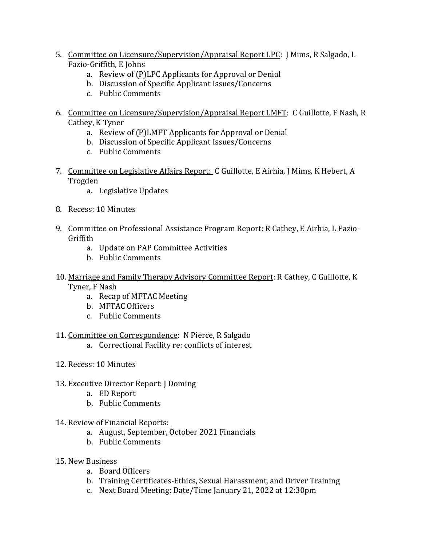- 5. Committee on Licensure/Supervision/Appraisal Report LPC: J Mims, R Salgado, L Fazio-Griffith, E Johns
	- a. Review of (P)LPC Applicants for Approval or Denial
	- b. Discussion of Specific Applicant Issues/Concerns
	- c. Public Comments
- 6. Committee on Licensure/Supervision/Appraisal Report LMFT: C Guillotte, F Nash, R Cathey, K Tyner
	- a. Review of (P)LMFT Applicants for Approval or Denial
	- b. Discussion of Specific Applicant Issues/Concerns
	- c. Public Comments
- 7. Committee on Legislative Affairs Report: C Guillotte, E Airhia, J Mims, K Hebert, A Trogden
	- a. Legislative Updates
- 8. Recess: 10 Minutes
- 9. Committee on Professional Assistance Program Report: R Cathey, E Airhia, L Fazio-Griffith
	- a. Update on PAP Committee Activities
	- b. Public Comments
- 10. Marriage and Family Therapy Advisory Committee Report: R Cathey, C Guillotte, K Tyner, F Nash
	- a. Recap of MFTAC Meeting
	- b. MFTAC Officers
	- c. Public Comments
- 11. Committee on Correspondence: N Pierce, R Salgado
	- a. Correctional Facility re: conflicts of interest
- 12. Recess: 10 Minutes
- 13. Executive Director Report: J Doming
	- a. ED Report
	- b. Public Comments
- 14. Review of Financial Reports:
	- a. August, September, October 2021 Financials
	- b. Public Comments
- 15. New Business
	- a. Board Officers
	- b. Training Certificates-Ethics, Sexual Harassment, and Driver Training
	- c. Next Board Meeting: Date/Time January 21, 2022 at 12:30pm